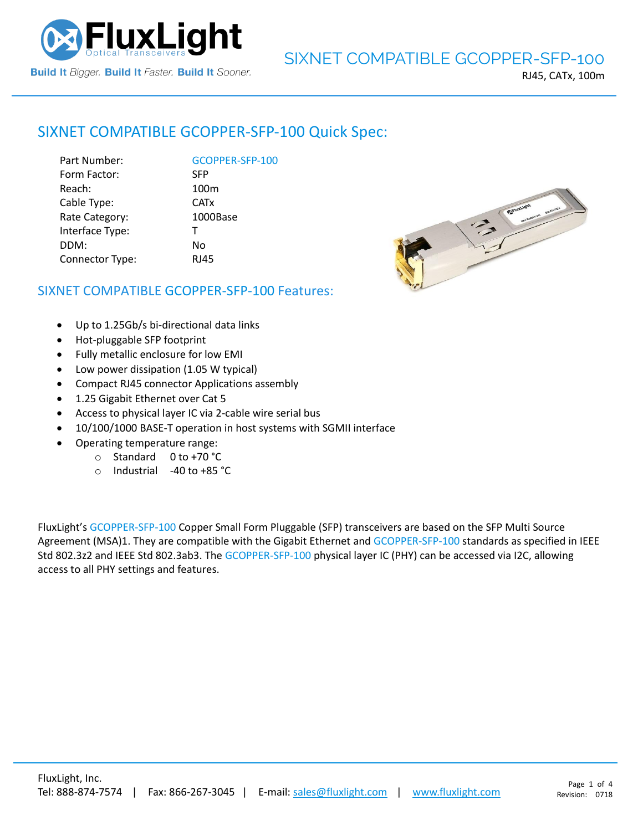

# SIXNET COMPATIBLE [GCOPPER-SFP-100](https://www.fluxlight.com/) Quick Spec:

|                      | <b>SFP</b>  |
|----------------------|-------------|
| Form Factor:         |             |
| Reach:               | 100r        |
| Cable Type:          | <b>CATx</b> |
| Rate Category:       | 1000        |
| Interface Type:<br>т |             |
| DDM:                 | No          |
| Connector Type:      | <b>RJ45</b> |

**[GCOPPER-SFP-100](https://www.fluxlight.com/)** Reach: 100m 1000Base



# SIXNET COMPATIBLE [GCOPPER-SFP-100](https://www.fluxlight.com/) Features:

- Up to 1.25Gb/s bi-directional data links
- Hot-pluggable SFP footprint
- Fully metallic enclosure for low EMI
- Low power dissipation (1.05 W typical)
- Compact RJ45 connector Applications assembly
- 1.25 Gigabit Ethernet over Cat 5
- Access to physical layer IC via 2-cable wire serial bus
- 10/100/1000 BASE-T operation in host systems with SGMII interface
- Operating temperature range:
	- o Standard 0 to +70 °C
	- o Industrial -40 to +85 °C

FluxLight's [GCOPPER-SFP-100](https://www.fluxlight.com/) Copper Small Form Pluggable (SFP) transceivers are based on the SFP Multi Source Agreement (MSA)1. They are compatible with the Gigabit Ethernet and [GCOPPER-SFP-100](https://www.fluxlight.com/) standards as specified in IEEE Std 802.3z2 and IEEE Std 802.3ab3. The [GCOPPER-SFP-100](https://www.fluxlight.com/) physical layer IC (PHY) can be accessed via I2C, allowing access to all PHY settings and features.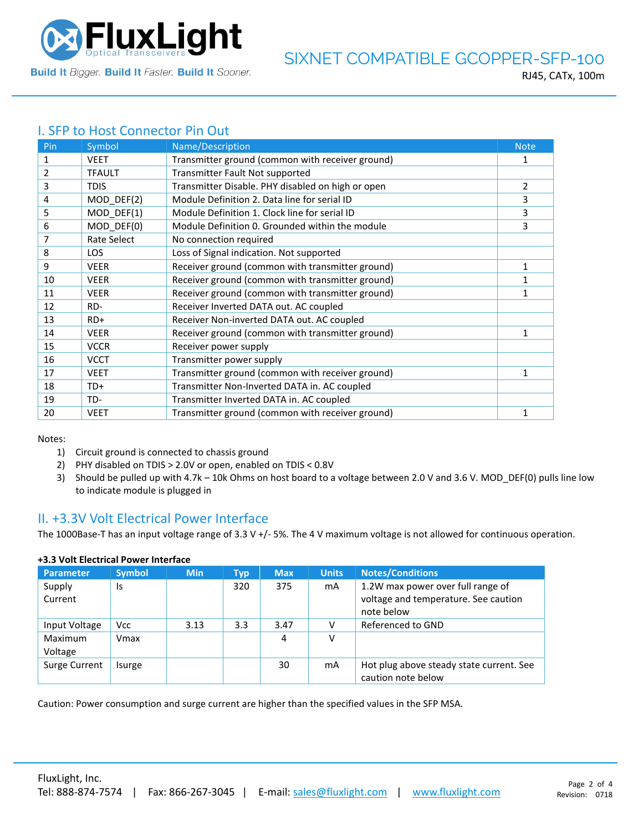

# I. SFP to Host Connector Pin Out

| Pin | Symbol        | Name/Description                                  | <b>Note</b> |
|-----|---------------|---------------------------------------------------|-------------|
| 1   | <b>VEET</b>   | Transmitter ground (common with receiver ground)  | 1           |
| 2   | <b>TFAULT</b> | Transmitter Fault Not supported                   |             |
| 3   | <b>TDIS</b>   | Transmitter Disable. PHY disabled on high or open | 2           |
| 4   | MOD_DEF(2)    | Module Definition 2. Data line for serial ID      | 3           |
| 5   | MOD DEF(1)    | Module Definition 1. Clock line for serial ID     | 3           |
| 6   | MOD DEF(0)    | Module Definition 0. Grounded within the module   | 3           |
| 7   | Rate Select   | No connection required                            |             |
| 8   | <b>LOS</b>    | Loss of Signal indication. Not supported          |             |
| 9   | <b>VEER</b>   | Receiver ground (common with transmitter ground)  | 1           |
| 10  | <b>VEER</b>   | Receiver ground (common with transmitter ground)  | 1           |
| 11  | <b>VEER</b>   | Receiver ground (common with transmitter ground)  | 1           |
| 12  | RD-           | Receiver Inverted DATA out. AC coupled            |             |
| 13  | $RD+$         | Receiver Non-inverted DATA out. AC coupled        |             |
| 14  | <b>VEER</b>   | Receiver ground (common with transmitter ground)  | 1           |
| 15  | <b>VCCR</b>   | Receiver power supply                             |             |
| 16  | <b>VCCT</b>   | Transmitter power supply                          |             |
| 17  | <b>VEET</b>   | Transmitter ground (common with receiver ground)  | 1           |
| 18  | TD+           | Transmitter Non-Inverted DATA in. AC coupled      |             |
| 19  | TD-           | Transmitter Inverted DATA in. AC coupled          |             |
| 20  | <b>VEET</b>   | Transmitter ground (common with receiver ground)  | 1           |

Notes:

- 1) Circuit ground is connected to chassis ground
- 2) PHY disabled on TDIS > 2.0V or open, enabled on TDIS < 0.8V
- 3) Should be pulled up with 4.7k 10k Ohms on host board to a voltage between 2.0 V and 3.6 V. MOD\_DEF(0) pulls line low to indicate module is plugged in

# II. +3.3V Volt Electrical Power Interface

The 1000Base-T has an input voltage range of 3.3 V +/- 5%. The 4 V maximum voltage is not allowed for continuous operation.

| <b>Parameter</b>   | <b>Symbol</b> | <b>Min</b> | Typ | <b>Max</b> | <b>Units</b> | <b>Notes/Conditions</b>                                                                 |
|--------------------|---------------|------------|-----|------------|--------------|-----------------------------------------------------------------------------------------|
| Supply<br>Current  | Is            |            | 320 | 375        | mA           | 1.2W max power over full range of<br>voltage and temperature. See caution<br>note below |
| Input Voltage      | <b>Vcc</b>    | 3.13       | 3.3 | 3.47       |              | Referenced to GND                                                                       |
| Maximum<br>Voltage | Vmax          |            |     | 4          | ν            |                                                                                         |
| Surge Current      | Isurge        |            |     | 30         | mA           | Hot plug above steady state current. See<br>caution note below                          |

### **+3.3 Volt Electrical Power Interface**

Caution: Power consumption and surge current are higher than the specified values in the SFP MSA.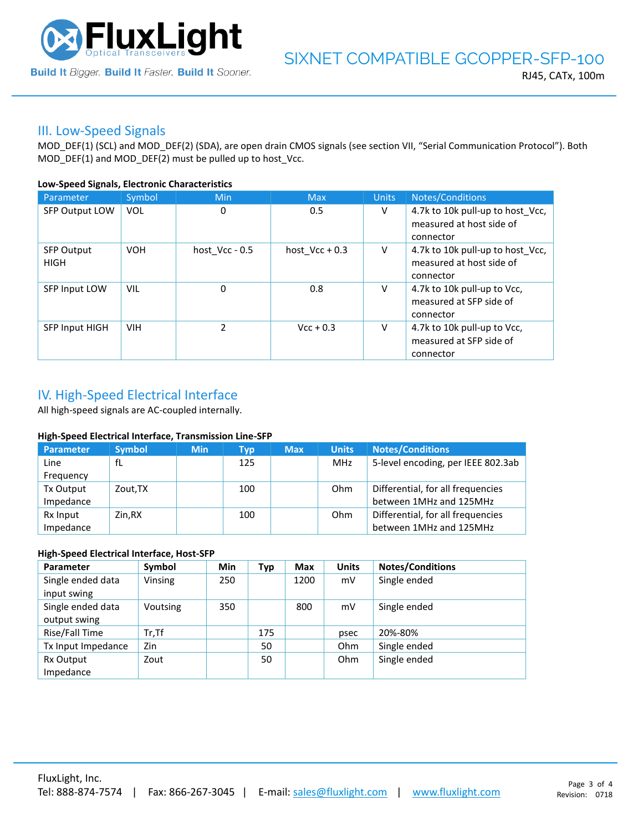

### III. Low-Speed Signals

MOD\_DEF(1) (SCL) and MOD\_DEF(2) (SDA), are open drain CMOS signals (see section VII, "Serial Communication Protocol"). Both MOD\_DEF(1) and MOD\_DEF(2) must be pulled up to host\_Vcc.

#### **Low-Speed Signals, Electronic Characteristics**

| Parameter                        | Symbol     | Min              | <b>Max</b>       | <b>Units</b> | Notes/Conditions                                                          |
|----------------------------------|------------|------------------|------------------|--------------|---------------------------------------------------------------------------|
| <b>SFP Output LOW</b>            | <b>VOL</b> | 0                | 0.5              | V            | 4.7k to 10k pull-up to host_Vcc,<br>measured at host side of<br>connector |
| <b>SFP Output</b><br><b>HIGH</b> | <b>VOH</b> | host $Vcc - 0.5$ | host $Vec + 0.3$ | V            | 4.7k to 10k pull-up to host Vcc,<br>measured at host side of<br>connector |
| SFP Input LOW                    | <b>VIL</b> | 0                | 0.8              | V            | 4.7k to 10k pull-up to Vcc,<br>measured at SFP side of<br>connector       |
| <b>SFP Input HIGH</b>            | <b>VIH</b> | $\mathcal{P}$    | $Vcc + 0.3$      | V            | 4.7k to 10k pull-up to Vcc,<br>measured at SFP side of<br>connector       |

# IV. High-Speed Electrical Interface

All high-speed signals are AC-coupled internally.

#### **High-Speed Electrical Interface, Transmission Line-SFP**

| Parameter | <b>Symbol</b> | <b>Min</b> | Typ | <b>Max</b> | <b>Units</b> | <b>Notes/Conditions</b>            |
|-----------|---------------|------------|-----|------------|--------------|------------------------------------|
| Line      | fL            |            | 125 |            | MHz          | 5-level encoding, per IEEE 802.3ab |
| Frequency |               |            |     |            |              |                                    |
| Tx Output | Zout, TX      |            | 100 |            | Ohm          | Differential, for all frequencies  |
| Impedance |               |            |     |            |              | between 1MHz and 125MHz            |
| Rx Input  | Zin.RX        |            | 100 |            | Ohm          | Differential, for all frequencies  |
| Impedance |               |            |     |            |              | between 1MHz and 125MHz            |

#### **High-Speed Electrical Interface, Host-SFP**

| Parameter          | Symbol   | <b>Min</b> | Typ | <b>Max</b> | <b>Units</b> | <b>Notes/Conditions</b> |
|--------------------|----------|------------|-----|------------|--------------|-------------------------|
| Single ended data  | Vinsing  | 250        |     | 1200       | mV           | Single ended            |
| input swing        |          |            |     |            |              |                         |
| Single ended data  | Voutsing | 350        |     | 800        | mV           | Single ended            |
| output swing       |          |            |     |            |              |                         |
| Rise/Fall Time     | $Tr.$ Tf |            | 175 |            | psec         | 20%-80%                 |
| Tx Input Impedance | Zin      |            | 50  |            | Ohm          | Single ended            |
| Rx Output          | Zout     |            | 50  |            | Ohm          | Single ended            |
| Impedance          |          |            |     |            |              |                         |